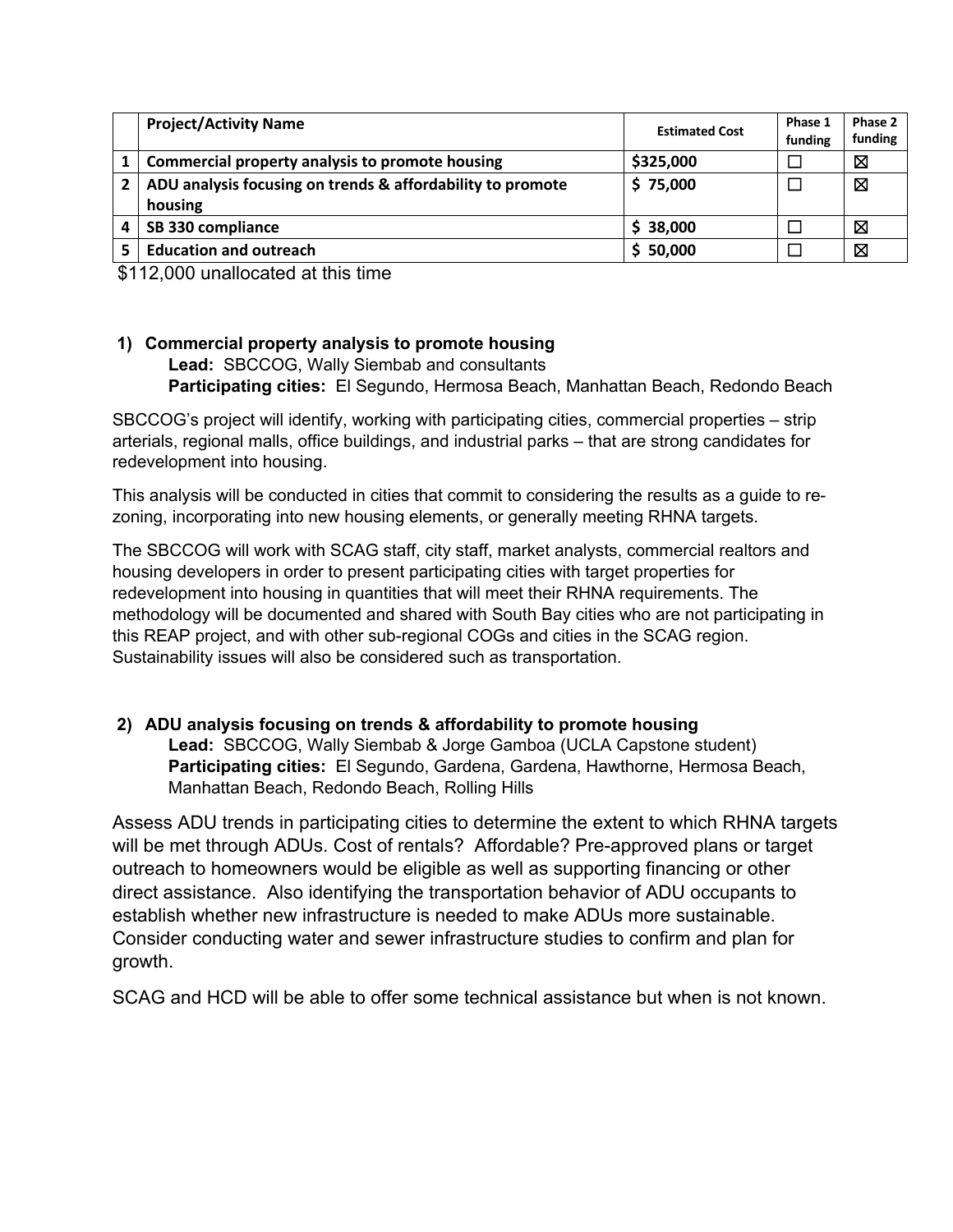|                | <b>Project/Activity Name</b>                               | <b>Estimated Cost</b> | Phase 1<br>funding | Phase 2<br>funding |
|----------------|------------------------------------------------------------|-----------------------|--------------------|--------------------|
|                | Commercial property analysis to promote housing            | \$325,000             |                    | 区                  |
| $\overline{2}$ | ADU analysis focusing on trends & affordability to promote | \$75,000              |                    | ⊠                  |
|                | housing                                                    |                       |                    |                    |
|                | SB 330 compliance                                          | \$38,000              |                    | 区                  |
|                | <b>Education and outreach</b>                              | \$50,000              |                    | $\boxtimes$        |

\$112,000 unallocated at this time

## **1) Commercial property analysis to promote housing**

**Lead:** SBCCOG, Wally Siembab and consultants **Participating cities:** El Segundo, Hermosa Beach, Manhattan Beach, Redondo Beach

SBCCOG's project will identify, working with participating cities, commercial properties – strip arterials, regional malls, office buildings, and industrial parks – that are strong candidates for redevelopment into housing.

This analysis will be conducted in cities that commit to considering the results as a guide to rezoning, incorporating into new housing elements, or generally meeting RHNA targets.

The SBCCOG will work with SCAG staff, city staff, market analysts, commercial realtors and housing developers in order to present participating cities with target properties for redevelopment into housing in quantities that will meet their RHNA requirements. The methodology will be documented and shared with South Bay cities who are not participating in this REAP project, and with other sub-regional COGs and cities in the SCAG region. Sustainability issues will also be considered such as transportation.

## **2) ADU analysis focusing on trends & affordability to promote housing**

**Lead:** SBCCOG, Wally Siembab & Jorge Gamboa (UCLA Capstone student) **Participating cities:** El Segundo, Gardena, Gardena, Hawthorne, Hermosa Beach, Manhattan Beach, Redondo Beach, Rolling Hills

Assess ADU trends in participating cities to determine the extent to which RHNA targets will be met through ADUs. Cost of rentals? Affordable? Pre-approved plans or target outreach to homeowners would be eligible as well as supporting financing or other direct assistance. Also identifying the transportation behavior of ADU occupants to establish whether new infrastructure is needed to make ADUs more sustainable. Consider conducting water and sewer infrastructure studies to confirm and plan for growth.

SCAG and HCD will be able to offer some technical assistance but when is not known.